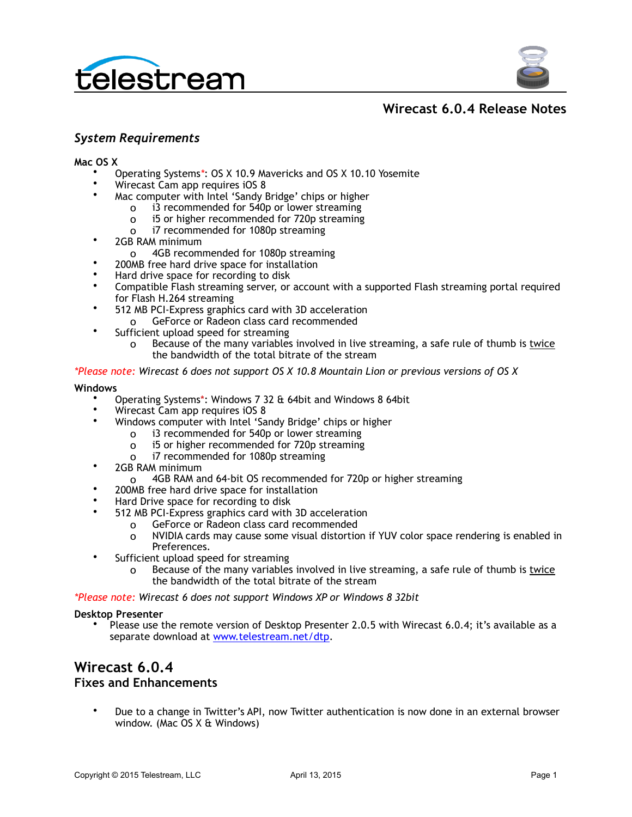



## **Wirecast 6.0.4 Release Notes**

## *System Requirements*

**Mac OS X**

- Operating Systems*\**: OS X 10.9 Mavericks and OS X 10.10 Yosemite
- Wirecast Cam app requires iOS 8
	- Mac computer with Intel 'Sandy Bridge' chips or higher
		- o i3 recommended for 540p or lower streaming
		- o i5 or higher recommended for 720p streaming
		- o i7 recommended for 1080p streaming
- 2GB RAM minimum
	- o 4GB recommended for 1080p streaming
- 200MB free hard drive space for installation
- Hard drive space for recording to disk
- Compatible Flash streaming server, or account with a supported Flash streaming portal required for Flash H.264 streaming
- 512 MB PCI-Express graphics card with 3D acceleration o GeForce or Radeon class card recommended
- Sufficient upload speed for streaming
	- o Because of the many variables involved in live streaming, a safe rule of thumb is twice the bandwidth of the total bitrate of the stream

#### *\*Please note: Wirecast 6 does not support OS X 10.8 Mountain Lion or previous versions of OS X*

#### **Windows**

- Operating Systems\*: Windows 7 32 & 64bit and Windows 8 64bit
- Wirecast Cam app requires iOS 8
	- Windows computer with Intel 'Sandy Bridge' chips or higher
		- o i3 recommended for 540p or lower streaming
		- o i5 or higher recommended for 720p streaming
		- o i7 recommended for 1080p streaming
- 2GB RAM minimum
	- o 4GB RAM and 64-bit OS recommended for 720p or higher streaming
- 200MB free hard drive space for installation
- Hard Drive space for recording to disk
- 512 MB PCI-Express graphics card with 3D acceleration
	- o GeForce or Radeon class card recommended
	- o NVIDIA cards may cause some visual distortion if YUV color space rendering is enabled in Preferences.
- Sufficient upload speed for streaming
	- o Because of the many variables involved in live streaming, a safe rule of thumb is twice the bandwidth of the total bitrate of the stream

#### *\*Please note: Wirecast 6 does not support Windows XP or Windows 8 32bit*

#### **Desktop Presenter**

• Please use the remote version of Desktop Presenter 2.0.5 with Wirecast 6.0.4; it's available as a separate download at [www.telestream.net/dtp](http://www.telestream.net/dtp).

## **Wirecast 6.0.4**

### **Fixes and Enhancements**

• Due to a change in Twitter's API, now Twitter authentication is now done in an external browser window. (Mac OS X & Windows)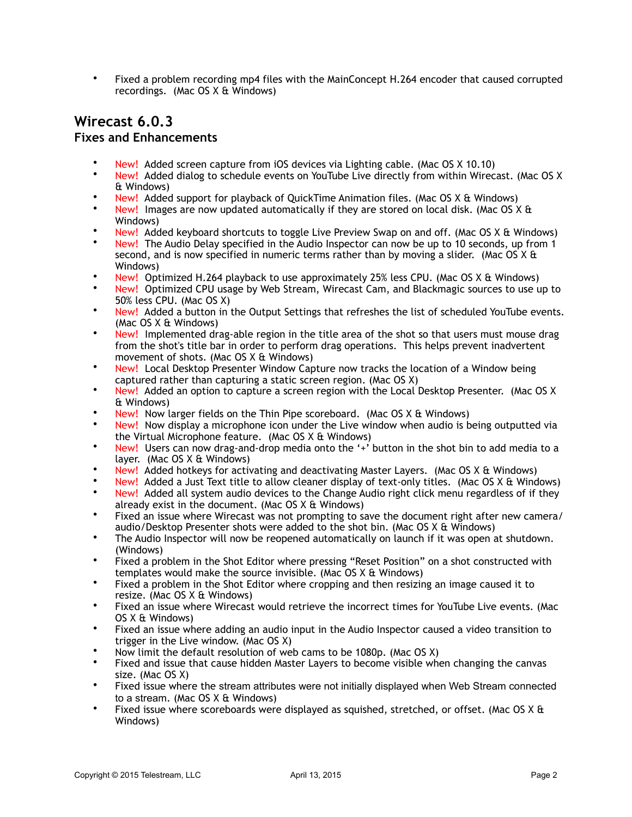• Fixed a problem recording mp4 files with the MainConcept H.264 encoder that caused corrupted recordings. (Mac OS X & Windows)

## **Wirecast 6.0.3 Fixes and Enhancements**

- New! Added screen capture from iOS devices via Lighting cable. (Mac OS X 10.10)
- New! Added dialog to schedule events on YouTube Live directly from within Wirecast. (Mac OS X & Windows)
- New! Added support for playback of QuickTime Animation files. (Mac OS X & Windows)
- New! Images are now updated automatically if they are stored on local disk. (Mac OS X & Windows)
- New! Added keyboard shortcuts to toggle Live Preview Swap on and off. (Mac OS X & Windows)
- New! The Audio Delay specified in the Audio Inspector can now be up to 10 seconds, up from 1 second, and is now specified in numeric terms rather than by moving a slider. (Mac OS X & Windows)
- New! Optimized H.264 playback to use approximately 25% less CPU. (Mac OS X & Windows)
- New! Optimized CPU usage by Web Stream, Wirecast Cam, and Blackmagic sources to use up to 50% less CPU. (Mac OS X)
- New! Added a button in the Output Settings that refreshes the list of scheduled YouTube events. (Mac OS X & Windows)
- New! Implemented drag-able region in the title area of the shot so that users must mouse drag from the shot's title bar in order to perform drag operations. This helps prevent inadvertent movement of shots. (Mac OS X & Windows)
- New! Local Desktop Presenter Window Capture now tracks the location of a Window being captured rather than capturing a static screen region. (Mac OS X)
- New! Added an option to capture a screen region with the Local Desktop Presenter. (Mac OS X & Windows)
- New! Now larger fields on the Thin Pipe scoreboard. (Mac OS  $X \triangleq$  Windows)
- New! Now display a microphone icon under the Live window when audio is being outputted via the Virtual Microphone feature. (Mac OS X & Windows)
- New! Users can now drag-and-drop media onto the '+' button in the shot bin to add media to a layer. (Mac OS X & Windows)
- New! Added hotkeys for activating and deactivating Master Layers. (Mac OS X & Windows)
- New! Added a Just Text title to allow cleaner display of text-only titles. (Mac OS X & Windows)
- New! Added all system audio devices to the Change Audio right click menu regardless of if they already exist in the document. (Mac OS  $X \&$  Windows)
- Fixed an issue where Wirecast was not prompting to save the document right after new camera/ audio/Desktop Presenter shots were added to the shot bin. (Mac OS X & Windows)
- The Audio Inspector will now be reopened automatically on launch if it was open at shutdown. (Windows)
- Fixed a problem in the Shot Editor where pressing "Reset Position" on a shot constructed with templates would make the source invisible. (Mac OS X & Windows)
- Fixed a problem in the Shot Editor where cropping and then resizing an image caused it to resize. (Mac OS X & Windows)
- Fixed an issue where Wirecast would retrieve the incorrect times for YouTube Live events. (Mac OS X & Windows)
- Fixed an issue where adding an audio input in the Audio Inspector caused a video transition to trigger in the Live window. (Mac OS X)
- Now limit the default resolution of web cams to be 1080p. (Mac OS X)
- Fixed and issue that cause hidden Master Layers to become visible when changing the canvas size. (Mac OS X)
- Fixed issue where the stream attributes were not initially displayed when Web Stream connected to a stream. (Mac OS X & Windows)
- Fixed issue where scoreboards were displayed as squished, stretched, or offset. (Mac OS X & Windows)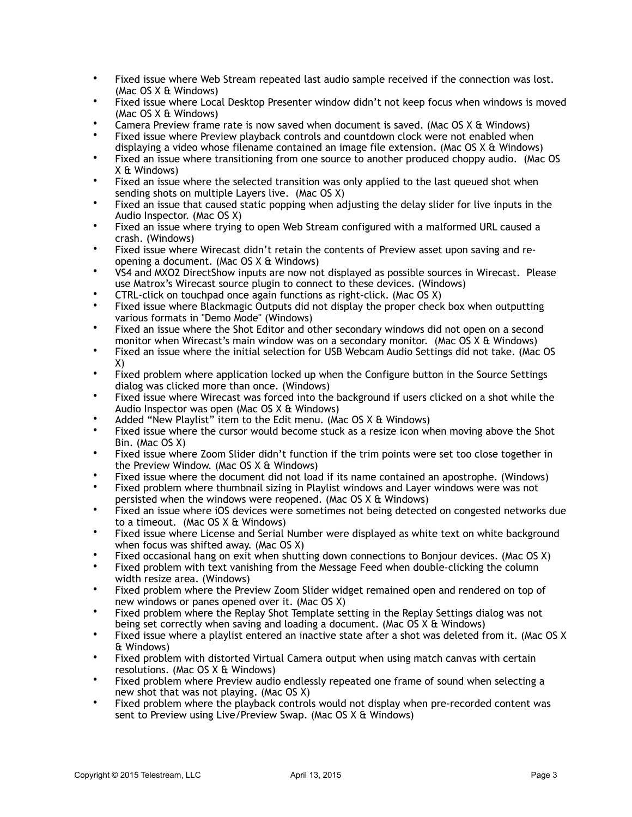- Fixed issue where Web Stream repeated last audio sample received if the connection was lost. (Mac OS X & Windows)
- Fixed issue where Local Desktop Presenter window didn't not keep focus when windows is moved (Mac OS X & Windows)
- Camera Preview frame rate is now saved when document is saved. (Mac OS X & Windows)
- Fixed issue where Preview playback controls and countdown clock were not enabled when displaying a video whose filename contained an image file extension. (Mac OS X & Windows)
- Fixed an issue where transitioning from one source to another produced choppy audio. (Mac OS X & Windows)
- Fixed an issue where the selected transition was only applied to the last queued shot when sending shots on multiple Layers live. (Mac OS X)
- Fixed an issue that caused static popping when adjusting the delay slider for live inputs in the Audio Inspector. (Mac OS X)
- Fixed an issue where trying to open Web Stream configured with a malformed URL caused a crash. (Windows)
- Fixed issue where Wirecast didn't retain the contents of Preview asset upon saving and reopening a document. (Mac OS X & Windows)
- VS4 and MXO2 DirectShow inputs are now not displayed as possible sources in Wirecast. Please use Matrox's Wirecast source plugin to connect to these devices. (Windows)
- CTRL-click on touchpad once again functions as right-click. (Mac OS X)
- Fixed issue where Blackmagic Outputs did not display the proper check box when outputting various formats in "Demo Mode" (Windows)
- Fixed an issue where the Shot Editor and other secondary windows did not open on a second monitor when Wirecast's main window was on a secondary monitor. (Mac OS X & Windows)
- Fixed an issue where the initial selection for USB Webcam Audio Settings did not take. (Mac OS X)
- Fixed problem where application locked up when the Configure button in the Source Settings dialog was clicked more than once. (Windows)
- Fixed issue where Wirecast was forced into the background if users clicked on a shot while the Audio Inspector was open (Mac OS X & Windows)
- Added "New Playlist" item to the Edit menu. (Mac OS X & Windows)
- Fixed issue where the cursor would become stuck as a resize icon when moving above the Shot Bin. (Mac OS X)
- Fixed issue where Zoom Slider didn't function if the trim points were set too close together in the Preview Window. (Mac OS X & Windows)
- Fixed issue where the document did not load if its name contained an apostrophe. (Windows)
- Fixed problem where thumbnail sizing in Playlist windows and Layer windows were was not persisted when the windows were reopened. (Mac OS X & Windows)
- Fixed an issue where iOS devices were sometimes not being detected on congested networks due to a timeout. (Mac OS X & Windows)
- Fixed issue where License and Serial Number were displayed as white text on white background when focus was shifted away. (Mac OS X)
- Fixed occasional hang on exit when shutting down connections to Bonjour devices. (Mac OS X)
- Fixed problem with text vanishing from the Message Feed when double-clicking the column width resize area. (Windows)
- Fixed problem where the Preview Zoom Slider widget remained open and rendered on top of new windows or panes opened over it. (Mac OS X)
- Fixed problem where the Replay Shot Template setting in the Replay Settings dialog was not being set correctly when saving and loading a document. (Mac OS X & Windows)
- Fixed issue where a playlist entered an inactive state after a shot was deleted from it. (Mac OS X & Windows)
- Fixed problem with distorted Virtual Camera output when using match canvas with certain resolutions. (Mac OS X & Windows)
- Fixed problem where Preview audio endlessly repeated one frame of sound when selecting a new shot that was not playing. (Mac OS X)
- Fixed problem where the playback controls would not display when pre-recorded content was sent to Preview using Live/Preview Swap. (Mac OS X & Windows)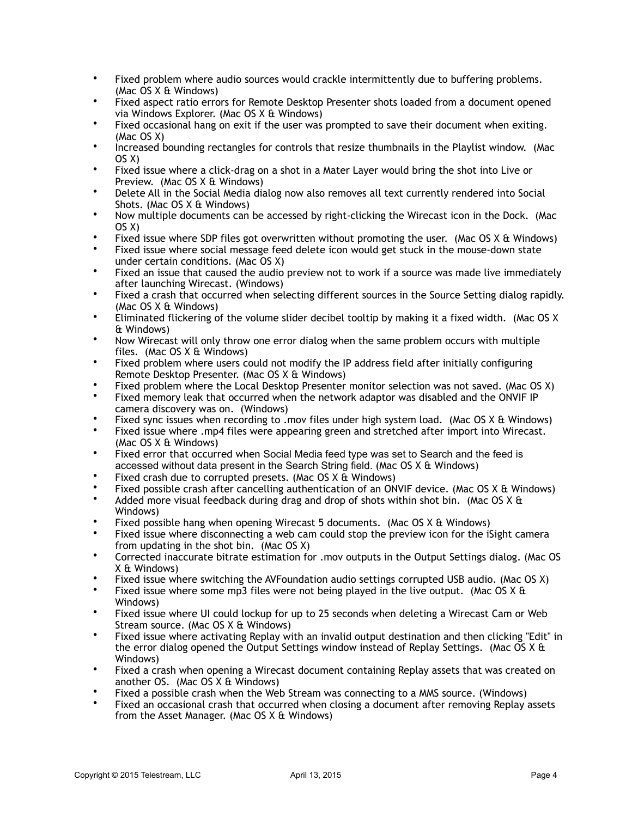- Fixed problem where audio sources would crackle intermittently due to buffering problems. (Mac OS X & Windows)
- Fixed aspect ratio errors for Remote Desktop Presenter shots loaded from a document opened via Windows Explorer. (Mac OS X & Windows)
- Fixed occasional hang on exit if the user was prompted to save their document when exiting. (Mac OS X)
- Increased bounding rectangles for controls that resize thumbnails in the Playlist window. (Mac OS X)
- Fixed issue where a click-drag on a shot in a Mater Layer would bring the shot into Live or Preview. (Mac OS X & Windows)
- Delete All in the Social Media dialog now also removes all text currently rendered into Social Shots. (Mac OS X & Windows)
- Now multiple documents can be accessed by right-clicking the Wirecast icon in the Dock. (Mac OS X)
- Fixed issue where SDP files got overwritten without promoting the user. (Mac OS X & Windows)
- Fixed issue where social message feed delete icon would get stuck in the mouse-down state under certain conditions. (Mac OS X)
- Fixed an issue that caused the audio preview not to work if a source was made live immediately after launching Wirecast. (Windows)
- Fixed a crash that occurred when selecting different sources in the Source Setting dialog rapidly. (Mac OS X & Windows)
- Eliminated flickering of the volume slider decibel tooltip by making it a fixed width. (Mac OS X & Windows)
- Now Wirecast will only throw one error dialog when the same problem occurs with multiple files. (Mac OS X & Windows)
- Fixed problem where users could not modify the IP address field after initially configuring Remote Desktop Presenter. (Mac OS X & Windows)
- Fixed problem where the Local Desktop Presenter monitor selection was not saved. (Mac OS X)
- Fixed memory leak that occurred when the network adaptor was disabled and the ONVIF IP camera discovery was on. (Windows)
- Fixed sync issues when recording to .mov files under high system load. (Mac OS X & Windows)
- Fixed issue where .mp4 files were appearing green and stretched after import into Wirecast. (Mac OS X & Windows)
- Fixed error that occurred when Social Media feed type was set to Search and the feed is accessed without data present in the Search String field. (Mac OS X & Windows)
- Fixed crash due to corrupted presets. (Mac OS X & Windows)
- Fixed possible crash after cancelling authentication of an ONVIF device. (Mac OS X & Windows)
- Added more visual feedback during drag and drop of shots within shot bin. (Mac OS  $X \& B$ Windows)
- Fixed possible hang when opening Wirecast 5 documents. (Mac OS X & Windows)
- Fixed issue where disconnecting a web cam could stop the preview icon for the iSight camera from updating in the shot bin. (Mac OS X)
- Corrected inaccurate bitrate estimation for .mov outputs in the Output Settings dialog. (Mac OS X & Windows)
- Fixed issue where switching the AVFoundation audio settings corrupted USB audio. (Mac OS X)
- Fixed issue where some mp3 files were not being played in the live output. (Mac OS  $X \&$ Windows)
- Fixed issue where UI could lockup for up to 25 seconds when deleting a Wirecast Cam or Web Stream source. (Mac OS X & Windows)
- Fixed issue where activating Replay with an invalid output destination and then clicking "Edit" in the error dialog opened the Output Settings window instead of Replay Settings. (Mac OS  $X \&$ Windows)
- Fixed a crash when opening a Wirecast document containing Replay assets that was created on another OS. (Mac OS X & Windows)
- Fixed a possible crash when the Web Stream was connecting to a MMS source. (Windows)
- Fixed an occasional crash that occurred when closing a document after removing Replay assets from the Asset Manager. (Mac OS X & Windows)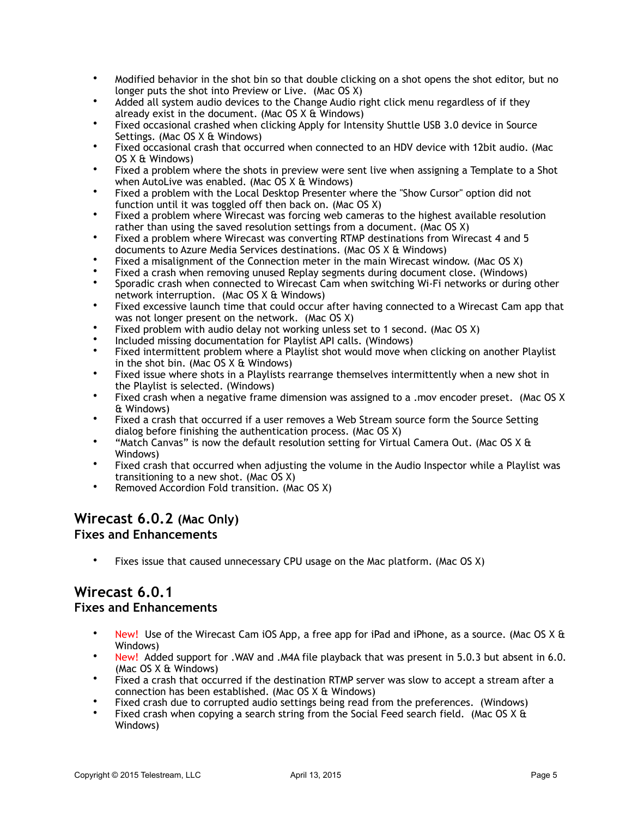- Modified behavior in the shot bin so that double clicking on a shot opens the shot editor, but no longer puts the shot into Preview or Live. (Mac OS X)
- Added all system audio devices to the Change Audio right click menu regardless of if they already exist in the document. (Mac OS  $X \oplus W$ indows)
- Fixed occasional crashed when clicking Apply for Intensity Shuttle USB 3.0 device in Source Settings. (Mac OS X & Windows)
- Fixed occasional crash that occurred when connected to an HDV device with 12bit audio. (Mac OS X & Windows)
- Fixed a problem where the shots in preview were sent live when assigning a Template to a Shot when AutoLive was enabled. (Mac OS X & Windows)
- Fixed a problem with the Local Desktop Presenter where the "Show Cursor" option did not function until it was toggled off then back on. (Mac OS X)
- Fixed a problem where Wirecast was forcing web cameras to the highest available resolution rather than using the saved resolution settings from a document. (Mac OS X)
- Fixed a problem where Wirecast was converting RTMP destinations from Wirecast 4 and 5 documents to Azure Media Services destinations. (Mac OS X & Windows)
- Fixed a misalignment of the Connection meter in the main Wirecast window. (Mac OS X)
- Fixed a crash when removing unused Replay segments during document close. (Windows)
- Sporadic crash when connected to Wirecast Cam when switching Wi-Fi networks or during other network interruption. (Mac OS X & Windows)
- Fixed excessive launch time that could occur after having connected to a Wirecast Cam app that was not longer present on the network. (Mac OS X)
- Fixed problem with audio delay not working unless set to 1 second. (Mac OS X)
- Included missing documentation for Playlist API calls. (Windows)
- Fixed intermittent problem where a Playlist shot would move when clicking on another Playlist in the shot bin. (Mac OS X & Windows)
- Fixed issue where shots in a Playlists rearrange themselves intermittently when a new shot in the Playlist is selected. (Windows)
- Fixed crash when a negative frame dimension was assigned to a .mov encoder preset. (Mac OS X & Windows)
- Fixed a crash that occurred if a user removes a Web Stream source form the Source Setting dialog before finishing the authentication process. (Mac OS X)
- "Match Canvas" is now the default resolution setting for Virtual Camera Out. (Mac OS X  $E$ Windows)
- Fixed crash that occurred when adjusting the volume in the Audio Inspector while a Playlist was transitioning to a new shot. (Mac OS X)
- Removed Accordion Fold transition. (Mac OS X)

## **Wirecast 6.0.2 (Mac Only)**

## **Fixes and Enhancements**

• Fixes issue that caused unnecessary CPU usage on the Mac platform. (Mac OS X)

# **Wirecast 6.0.1**

### **Fixes and Enhancements**

- New! Use of the Wirecast Cam iOS App, a free app for iPad and iPhone, as a source. (Mac OS X & Windows)
- New! Added support for .WAV and .M4A file playback that was present in 5.0.3 but absent in 6.0. (Mac OS X & Windows)
- Fixed a crash that occurred if the destination RTMP server was slow to accept a stream after a connection has been established. (Mac OS X & Windows)
- Fixed crash due to corrupted audio settings being read from the preferences. (Windows)
- Fixed crash when copying a search string from the Social Feed search field. (Mac OS  $X \&$ Windows)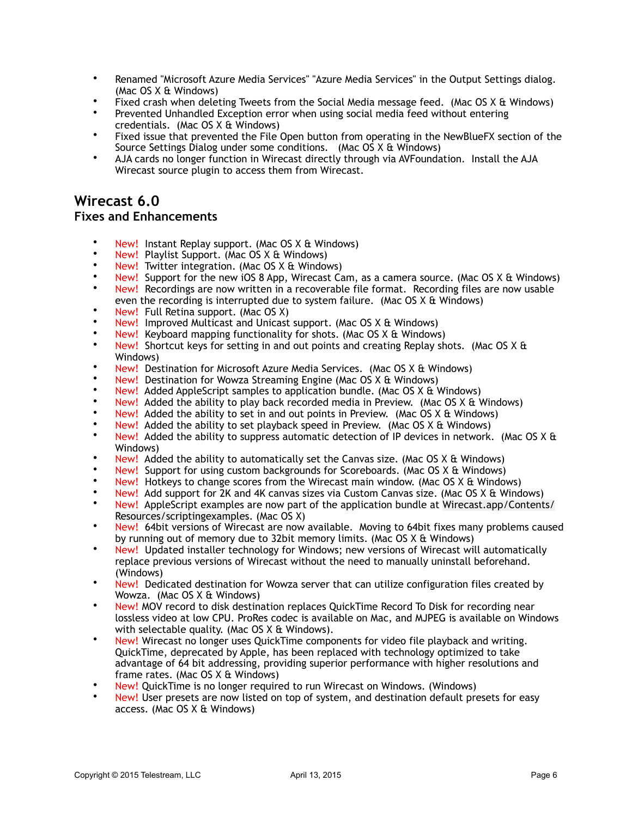- Renamed "Microsoft Azure Media Services" "Azure Media Services" in the Output Settings dialog. (Mac OS X & Windows)
- Fixed crash when deleting Tweets from the Social Media message feed. (Mac OS X & Windows)
- Prevented Unhandled Exception error when using social media feed without entering credentials. (Mac OS X & Windows)
- Fixed issue that prevented the File Open button from operating in the NewBlueFX section of the Source Settings Dialog under some conditions. (Mac OS X & Windows)
- AJA cards no longer function in Wirecast directly through via AVFoundation. Install the AJA Wirecast source plugin to access them from Wirecast.

## **Wirecast 6.0**

### **Fixes and Enhancements**

- New! Instant Replay support. (Mac OS X & Windows)
- New! Playlist Support. (Mac OS X & Windows)
- New! Twitter integration. (Mac OS X & Windows)
- New! Support for the new iOS 8 App, Wirecast Cam, as a camera source. (Mac OS X & Windows) • New! Recordings are now written in a recoverable file format. Recording files are now usable
- even the recording is interrupted due to system failure. (Mac OS X & Windows)
- New! Full Retina support. (Mac OS X)
- New! Improved Multicast and Unicast support. (Mac OS X & Windows)
- New! Keyboard mapping functionality for shots. (Mac OS X & Windows)
- New! Shortcut keys for setting in and out points and creating Replay shots. (Mac OS X & Windows)
- New! Destination for Microsoft Azure Media Services. (Mac OS X & Windows)
- New! Destination for Wowza Streaming Engine (Mac OS X & Windows)
- New! Added AppleScript samples to application bundle. (Mac OS X & Windows)
- New! Added the ability to play back recorded media in Preview. (Mac OS  $X$  & Windows)
- New! Added the ability to set in and out points in Preview. (Mac  $OS X \& Windows$ )
- New! Added the ability to set playback speed in Preview. (Mac OS  $X \&$  Windows)
- New! Added the ability to suppress automatic detection of IP devices in network. (Mac OS X & Windows)
- New! Added the ability to automatically set the Canvas size. (Mac OS X & Windows)
- New! Support for using custom backgrounds for Scoreboards. (Mac OS X & Windows)
- New! Hotkeys to change scores from the Wirecast main window. (Mac OS X & Windows)
- New! Add support for 2K and 4K canvas sizes via Custom Canvas size. (Mac OS X & Windows)
- New! AppleScript examples are now part of the application bundle at Wirecast.app/Contents/ Resources/scriptingexamples. (Mac OS X)
- New! 64bit versions of Wirecast are now available. Moving to 64bit fixes many problems caused by running out of memory due to 32bit memory limits. (Mac OS X & Windows)
- New! Updated installer technology for Windows; new versions of Wirecast will automatically replace previous versions of Wirecast without the need to manually uninstall beforehand. (Windows)
- New! Dedicated destination for Wowza server that can utilize configuration files created by Wowza. (Mac OS X & Windows)
- New! MOV record to disk destination replaces QuickTime Record To Disk for recording near lossless video at low CPU. ProRes codec is available on Mac, and MJPEG is available on Windows with selectable quality. (Mac OS X & Windows).
- New! Wirecast no longer uses QuickTime components for video file playback and writing. QuickTime, deprecated by Apple, has been replaced with technology optimized to take advantage of 64 bit addressing, providing superior performance with higher resolutions and frame rates. (Mac OS X & Windows)
- New! QuickTime is no longer required to run Wirecast on Windows. (Windows)
- New! User presets are now listed on top of system, and destination default presets for easy access. (Mac OS X & Windows)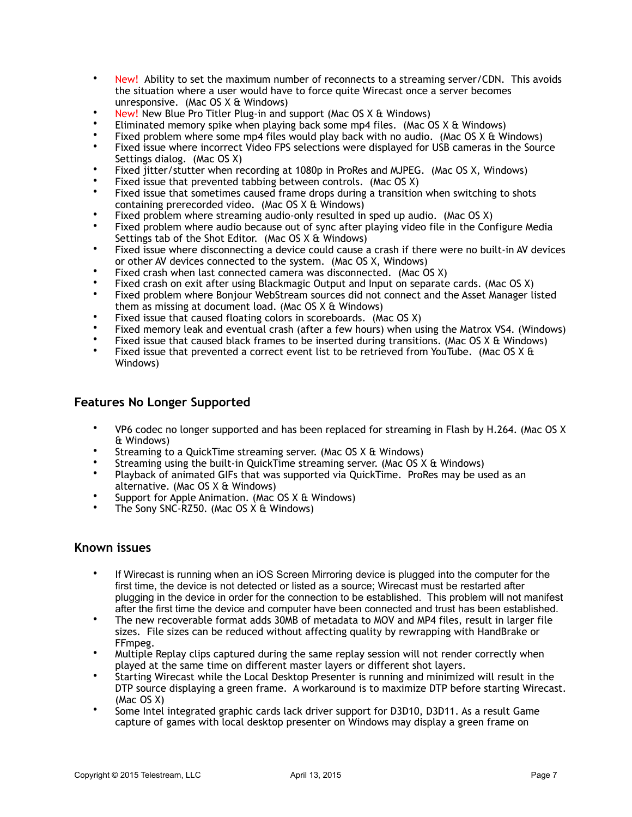- New! Ability to set the maximum number of reconnects to a streaming server/CDN. This avoids the situation where a user would have to force quite Wirecast once a server becomes unresponsive. (Mac OS X & Windows)
- New! New Blue Pro Titler Plug-in and support (Mac OS X & Windows)
- Eliminated memory spike when playing back some mp4 files. (Mac OS X & Windows)
- Fixed problem where some mp4 files would play back with no audio. (Mac OS X & Windows)
- Fixed issue where incorrect Video FPS selections were displayed for USB cameras in the Source Settings dialog. (Mac OS X)
- Fixed jitter/stutter when recording at 1080p in ProRes and MJPEG. (Mac OS X, Windows)
- Fixed issue that prevented tabbing between controls. (Mac OS X)
- Fixed issue that sometimes caused frame drops during a transition when switching to shots containing prerecorded video. (Mac OS X & Windows)
- Fixed problem where streaming audio-only resulted in sped up audio. (Mac OS X)
- Fixed problem where audio because out of sync after playing video file in the Configure Media Settings tab of the Shot Editor. (Mac OS X & Windows)
- Fixed issue where disconnecting a device could cause a crash if there were no built-in AV devices or other AV devices connected to the system. (Mac OS X, Windows)
- Fixed crash when last connected camera was disconnected. (Mac OS X)
- Fixed crash on exit after using Blackmagic Output and Input on separate cards. (Mac OS X)
- Fixed problem where Bonjour WebStream sources did not connect and the Asset Manager listed them as missing at document load. (Mac OS X & Windows)
- Fixed issue that caused floating colors in scoreboards. (Mac OS X)
- Fixed memory leak and eventual crash (after a few hours) when using the Matrox VS4. (Windows)
- Fixed issue that caused black frames to be inserted during transitions. (Mac OS X & Windows)
- Fixed issue that prevented a correct event list to be retrieved from YouTube. (Mac OS X & Windows)

### **Features No Longer Supported**

- VP6 codec no longer supported and has been replaced for streaming in Flash by H.264. (Mac OS X & Windows)
- Streaming to a QuickTime streaming server. (Mac OS X & Windows)
- Streaming using the built-in QuickTime streaming server. (Mac OS X & Windows)
- Playback of animated GIFs that was supported via QuickTime. ProRes may be used as an alternative. (Mac OS X & Windows)
- Support for Apple Animation. (Mac OS X & Windows)
- The Sony SNC-RZ50. (Mac OS X & Windows)

### **Known issues**

- If Wirecast is running when an iOS Screen Mirroring device is plugged into the computer for the first time, the device is not detected or listed as a source; Wirecast must be restarted after plugging in the device in order for the connection to be established. This problem will not manifest after the first time the device and computer have been connected and trust has been established.
- The new recoverable format adds 30MB of metadata to MOV and MP4 files, result in larger file sizes. File sizes can be reduced without affecting quality by rewrapping with HandBrake or FFmpeg.
- Multiple Replay clips captured during the same replay session will not render correctly when played at the same time on different master layers or different shot layers.
- Starting Wirecast while the Local Desktop Presenter is running and minimized will result in the DTP source displaying a green frame. A workaround is to maximize DTP before starting Wirecast. (Mac OS X)
- Some Intel integrated graphic cards lack driver support for D3D10, D3D11. As a result Game capture of games with local desktop presenter on Windows may display a green frame on